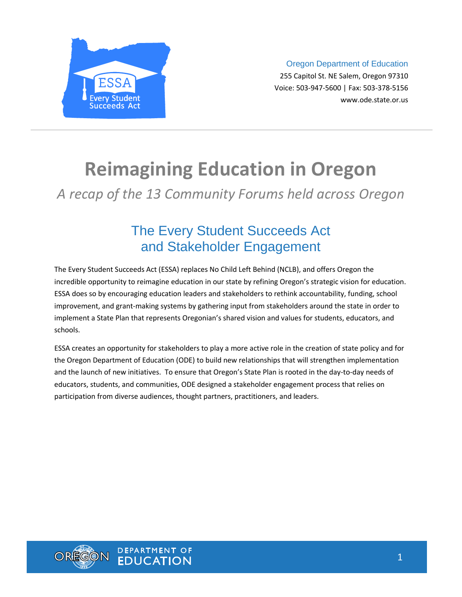

Oregon Department of Education 255 Capitol St. NE Salem, Oregon 97310 Voice: 503-947-5600 | Fax: 503-378-5156 www.ode.state.or.us

# **Reimagining Education in Oregon**

*A recap of the 13 Community Forums held across Oregon*

# The Every Student Succeeds Act and Stakeholder Engagement

The Every Student Succeeds Act (ESSA) replaces No Child Left Behind (NCLB), and offers Oregon the incredible opportunity to reimagine education in our state by refining Oregon's strategic vision for education. ESSA does so by encouraging education leaders and stakeholders to rethink accountability, funding, school improvement, and grant-making systems by gathering input from stakeholders around the state in order to implement a State Plan that represents Oregonian's shared vision and values for students, educators, and schools.

ESSA creates an opportunity for stakeholders to play a more active role in the creation of state policy and for the Oregon Department of Education (ODE) to build new relationships that will strengthen implementation and the launch of new initiatives. To ensure that Oregon's State Plan is rooted in the day-to-day needs of educators, students, and communities, ODE designed a stakeholder engagement process that relies on participation from diverse audiences, thought partners, practitioners, and leaders.

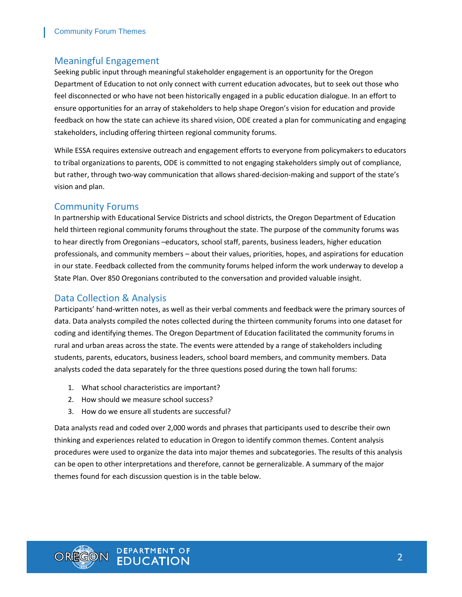#### Meaningful Engagement

Seeking public input through meaningful stakeholder engagement is an opportunity for the Oregon Department of Education to not only connect with current education advocates, but to seek out those who feel disconnected or who have not been historically engaged in a public education dialogue. In an effort to ensure opportunities for an array of stakeholders to help shape Oregon's vision for education and provide feedback on how the state can achieve its shared vision, ODE created a plan for communicating and engaging stakeholders, including offering thirteen regional community forums.

While ESSA requires extensive outreach and engagement efforts to everyone from policymakers to educators to tribal organizations to parents, ODE is committed to not engaging stakeholders simply out of compliance, but rather, through two-way communication that allows shared-decision-making and support of the state's vision and plan.

#### Community Forums

In partnership with Educational Service Districts and school districts, the Oregon Department of Education held thirteen regional community forums throughout the state. The purpose of the community forums was to hear directly from Oregonians –educators, school staff, parents, business leaders, higher education professionals, and community members – about their values, priorities, hopes, and aspirations for education in our state. Feedback collected from the community forums helped inform the work underway to develop a State Plan. Over 850 Oregonians contributed to the conversation and provided valuable insight.

#### Data Collection & Analysis

Participants' hand-written notes, as well as their verbal comments and feedback were the primary sources of data. Data analysts compiled the notes collected during the thirteen community forums into one dataset for coding and identifying themes. The Oregon Department of Education facilitated the community forums in rural and urban areas across the state. The events were attended by a range of stakeholders including students, parents, educators, business leaders, school board members, and community members. Data analysts coded the data separately for the three questions posed during the town hall forums:

- 1. What school characteristics are important?
- 2. How should we measure school success?
- 3. How do we ensure all students are successful?

Data analysts read and coded over 2,000 words and phrases that participants used to describe their own thinking and experiences related to education in Oregon to identify common themes. Content analysis procedures were used to organize the data into major themes and subcategories. The results of this analysis can be open to other interpretations and therefore, cannot be gerneralizable. A summary of the major themes found for each discussion question is in the table below.

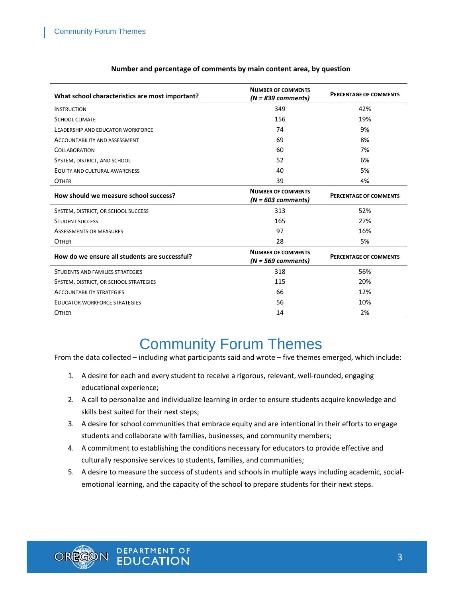| What school characteristics are most important? | <b>NUMBER OF COMMENTS</b><br>$(N = 839$ comments) | <b>PERCENTAGE OF COMMENTS</b> |
|-------------------------------------------------|---------------------------------------------------|-------------------------------|
| <b>INSTRUCTION</b>                              | 349                                               | 42%                           |
| <b>SCHOOL CLIMATE</b>                           | 156                                               | 19%                           |
| LEADERSHIP AND EDUCATOR WORKFORCE               | 74                                                | 9%                            |
| ACCOUNTABILITY AND ASSESSMENT                   | 69                                                | 8%                            |
| <b>COLLABORATION</b>                            | 60                                                | 7%                            |
| SYSTEM, DISTRICT, AND SCHOOL                    | 52                                                | 6%                            |
| <b>EQUITY AND CULTURAL AWARENESS</b>            | 40                                                | 5%                            |
| <b>OTHER</b>                                    | 39                                                | 4%                            |
| How should we measure school success?           | <b>NUMBER OF COMMENTS</b><br>$(N = 603$ comments) | <b>PERCENTAGE OF COMMENTS</b> |
| SYSTEM, DISTRICT, OR SCHOOL SUCCESS             | 313                                               | 52%                           |
| <b>STUDENT SUCCESS</b>                          | 165                                               | 27%                           |
| <b>ASSESSMENTS OR MEASURES</b>                  | 97                                                | 16%                           |
| <b>OTHER</b>                                    | 28                                                | 5%                            |
| How do we ensure all students are successful?   | <b>NUMBER OF COMMENTS</b><br>$(N = 569$ comments) | <b>PERCENTAGE OF COMMENTS</b> |
| STUDENTS AND FAMILIES STRATEGIES                | 318                                               | 56%                           |
| SYSTEM, DISTRICT, OR SCHOOL STRATEGIES          | 115                                               | 20%                           |
| <b>ACCOUNTABILITY STRATEGIES</b>                | 66                                                | 12%                           |
| <b>EDUCATOR WORKFORCE STRATEGIES</b>            | 56                                                | 10%                           |
| <b>OTHER</b>                                    | 14                                                | 2%                            |

#### **Number and percentage of comments by main content area, by question**

# Community Forum Themes

From the data collected – including what participants said and wrote – five themes emerged, which include:

- 1. A desire for each and every student to receive a rigorous, relevant, well-rounded, engaging educational experience;
- 2. A call to personalize and individualize learning in order to ensure students acquire knowledge and skills best suited for their next steps;
- 3. A desire for school communities that embrace equity and are intentional in their efforts to engage students and collaborate with families, businesses, and community members;
- 4. A commitment to establishing the conditions necessary for educators to provide effective and culturally responsive services to students, families, and communities;
- 5. A desire to measure the success of students and schools in multiple ways including academic, socialemotional learning, and the capacity of the school to prepare students for their next steps.

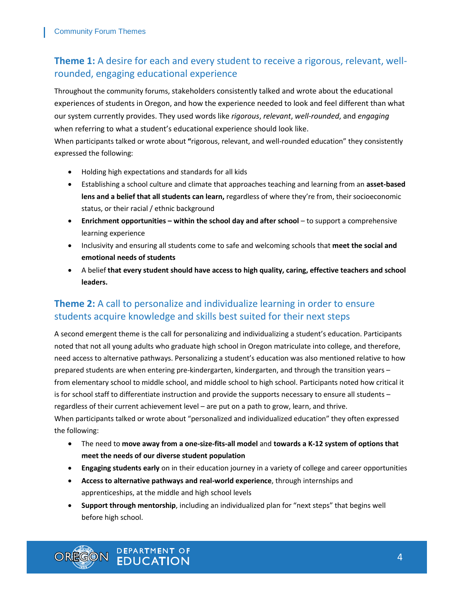### **Theme 1:** A desire for each and every student to receive a rigorous, relevant, wellrounded, engaging educational experience

Throughout the community forums, stakeholders consistently talked and wrote about the educational experiences of students in Oregon, and how the experience needed to look and feel different than what our system currently provides. They used words like *rigorous*, *relevant*, *well-rounded*, and *engaging* when referring to what a student's educational experience should look like.

When participants talked or wrote about **"**rigorous, relevant, and well-rounded education" they consistently expressed the following:

- Holding high expectations and standards for all kids
- Establishing a school culture and climate that approaches teaching and learning from an **asset-based lens and a belief that all students can learn,** regardless of where they're from, their socioeconomic status, or their racial / ethnic background
- **Enrichment opportunities – within the school day and after school** to support a comprehensive learning experience
- Inclusivity and ensuring all students come to safe and welcoming schools that **meet the social and emotional needs of students**
- A belief **that every student should have access to high quality, caring, effective teachers and school leaders.**

### **Theme 2:** A call to personalize and individualize learning in order to ensure students acquire knowledge and skills best suited for their next steps

A second emergent theme is the call for personalizing and individualizing a student's education. Participants noted that not all young adults who graduate high school in Oregon matriculate into college, and therefore, need access to alternative pathways. Personalizing a student's education was also mentioned relative to how prepared students are when entering pre-kindergarten, kindergarten, and through the transition years – from elementary school to middle school, and middle school to high school. Participants noted how critical it is for school staff to differentiate instruction and provide the supports necessary to ensure all students – regardless of their current achievement level – are put on a path to grow, learn, and thrive. When participants talked or wrote about "personalized and individualized education" they often expressed the following:

- The need to **move away from a one-size-fits-all model** and **towards a K-12 system of options that meet the needs of our diverse student population**
- **Engaging students early** on in their education journey in a variety of college and career opportunities
- **Access to alternative pathways and real-world experience**, through internships and apprenticeships, at the middle and high school levels
- **Support through mentorship**, including an individualized plan for "next steps" that begins well before high school.

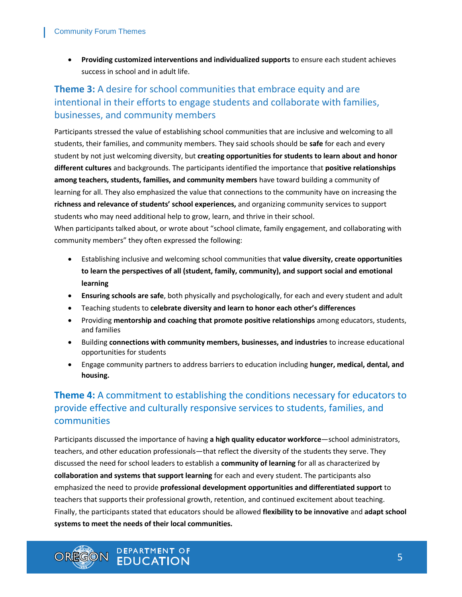**Providing customized interventions and individualized supports** to ensure each student achieves success in school and in adult life.

## **Theme 3:** A desire for school communities that embrace equity and are intentional in their efforts to engage students and collaborate with families, businesses, and community members

Participants stressed the value of establishing school communities that are inclusive and welcoming to all students, their families, and community members. They said schools should be **safe** for each and every student by not just welcoming diversity, but **creating opportunities for students to learn about and honor different cultures** and backgrounds. The participants identified the importance that **positive relationships among teachers, students, families, and community members** have toward building a community of learning for all. They also emphasized the value that connections to the community have on increasing the **richness and relevance of students' school experiences,** and organizing community services to support students who may need additional help to grow, learn, and thrive in their school.

When participants talked about, or wrote about "school climate, family engagement, and collaborating with community members" they often expressed the following:

- Establishing inclusive and welcoming school communities that **value diversity, create opportunities to learn the perspectives of all (student, family, community), and support social and emotional learning**
- **Ensuring schools are safe**, both physically and psychologically, for each and every student and adult
- Teaching students to **celebrate diversity and learn to honor each other's differences**
- Providing **mentorship and coaching that promote positive relationships** among educators, students, and families
- Building **connections with community members, businesses, and industries** to increase educational opportunities for students
- Engage community partners to address barriers to education including **hunger, medical, dental, and housing.**

### **Theme 4:** A commitment to establishing the conditions necessary for educators to provide effective and culturally responsive services to students, families, and communities

Participants discussed the importance of having **a high quality educator workforce**—school administrators, teachers, and other education professionals—that reflect the diversity of the students they serve. They discussed the need for school leaders to establish a **community of learning** for all as characterized by **collaboration and systems that support learning** for each and every student. The participants also emphasized the need to provide **professional development opportunities and differentiated support** to teachers that supports their professional growth, retention, and continued excitement about teaching. Finally, the participants stated that educators should be allowed **flexibility to be innovative** and **adapt school systems to meet the needs of their local communities.** 



**DEPARTMENT OF FDUCATION**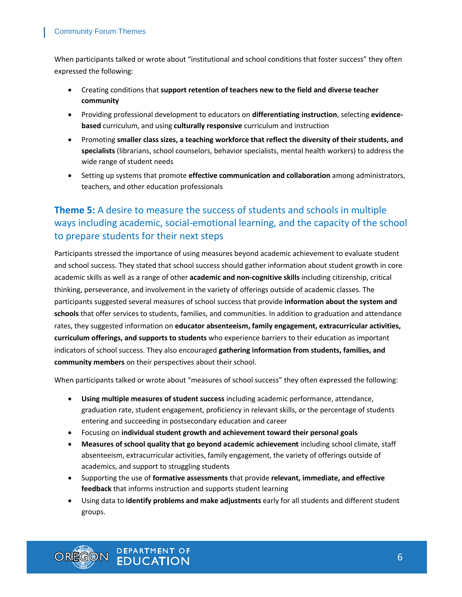When participants talked or wrote about "institutional and school conditions that foster success" they often expressed the following:

- Creating conditions that **support retention of teachers new to the field and diverse teacher community**
- Providing professional development to educators on **differentiating instruction**, selecting **evidencebased** curriculum, and using **culturally responsive** curriculum and instruction
- Promoting **smaller class sizes, a teaching workforce that reflect the diversity of their students, and specialists** (librarians, school counselors, behavior specialists, mental health workers) to address the wide range of student needs
- Setting up systems that promote **effective communication and collaboration** among administrators, teachers, and other education professionals

## **Theme 5:** A desire to measure the success of students and schools in multiple ways including academic, social-emotional learning, and the capacity of the school to prepare students for their next steps

Participants stressed the importance of using measures beyond academic achievement to evaluate student and school success. They stated that school success should gather information about student growth in core academic skills as well as a range of other **academic and non-cognitive skills** including citizenship, critical thinking, perseverance, and involvement in the variety of offerings outside of academic classes. The participants suggested several measures of school success that provide **information about the system and schools** that offer services to students, families, and communities. In addition to graduation and attendance rates, they suggested information on **educator absenteeism, family engagement, extracurricular activities, curriculum offerings, and supports to students** who experience barriers to their education as important indicators of school success. They also encouraged **gathering information from students, families, and community members** on their perspectives about their school.

When participants talked or wrote about "measures of school success" they often expressed the following:

- **Using multiple measures of student success** including academic performance, attendance, graduation rate, student engagement, proficiency in relevant skills, or the percentage of students entering and succeeding in postsecondary education and career
- Focusing on **individual student growth and achievement toward their personal goals**
- **Measures of school quality that go beyond academic achievement** including school climate, staff absenteeism, extracurricular activities, family engagement, the variety of offerings outside of academics, and support to struggling students
- Supporting the use of **formative assessments** that provide **relevant, immediate, and effective feedback** that informs instruction and supports student learning
- Using data to **identify problems and make adjustments** early for all students and different student groups.